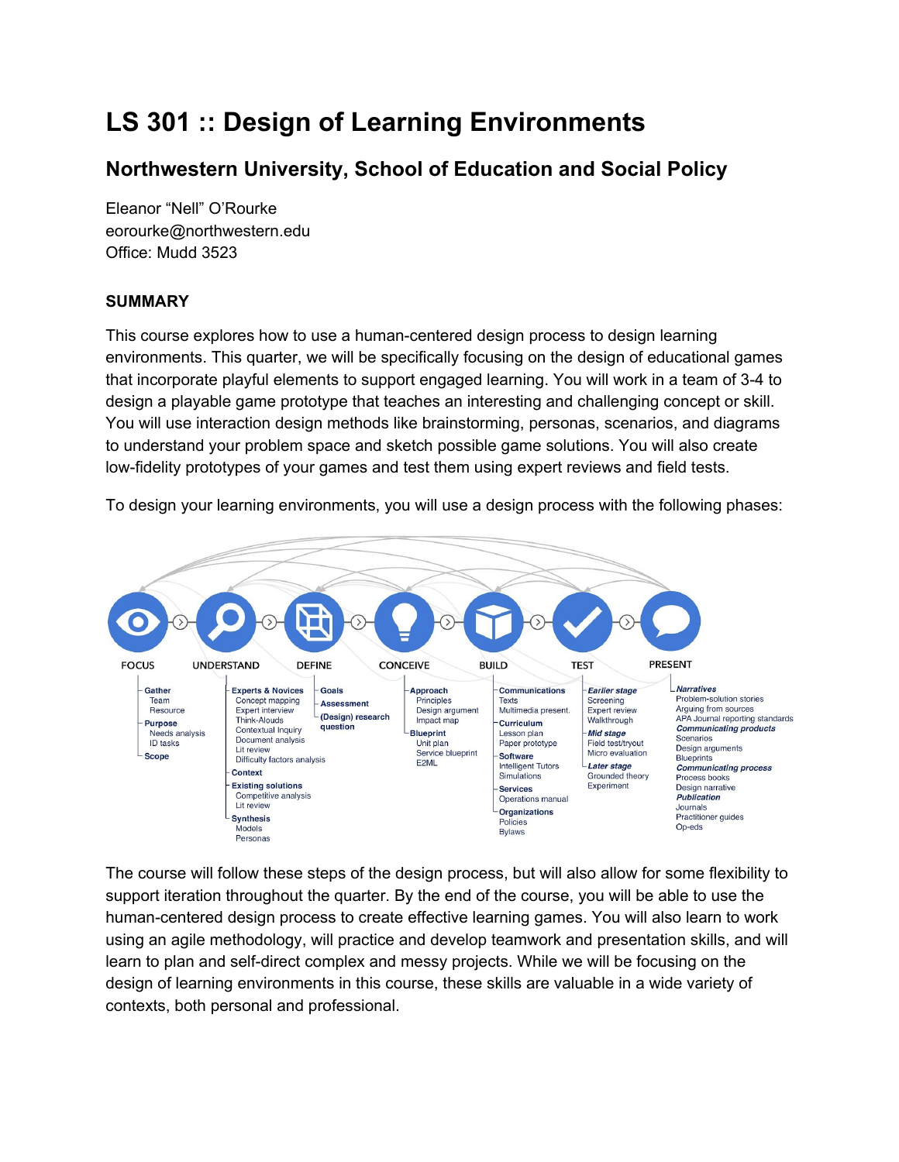# **LS 301 :: Design of Learning Environments**

## **Northwestern University, School of Education and Social Policy**

Eleanor "Nell" O'Rourke eorourke@northwestern.edu Office: Mudd 3523

## **SUMMARY**

This course explores how to use a human-centered design process to design learning environments. This quarter, we will be specifically focusing on the design of educational games that incorporate playful elements to support engaged learning. You will work in a team of 3-4 to design a playable game prototype that teaches an interesting and challenging concept or skill. You will use interaction design methods like brainstorming, personas, scenarios, and diagrams to understand your problem space and sketch possible game solutions. You will also create low-fidelity prototypes of your games and test them using expert reviews and field tests.





The course will follow these steps of the design process, but will also allow for some flexibility to support iteration throughout the quarter. By the end of the course, you will be able to use the human-centered design process to create effective learning games. You will also learn to work using an agile methodology, will practice and develop teamwork and presentation skills, and will learn to plan and self-direct complex and messy projects. While we will be focusing on the design of learning environments in this course, these skills are valuable in a wide variety of contexts, both personal and professional.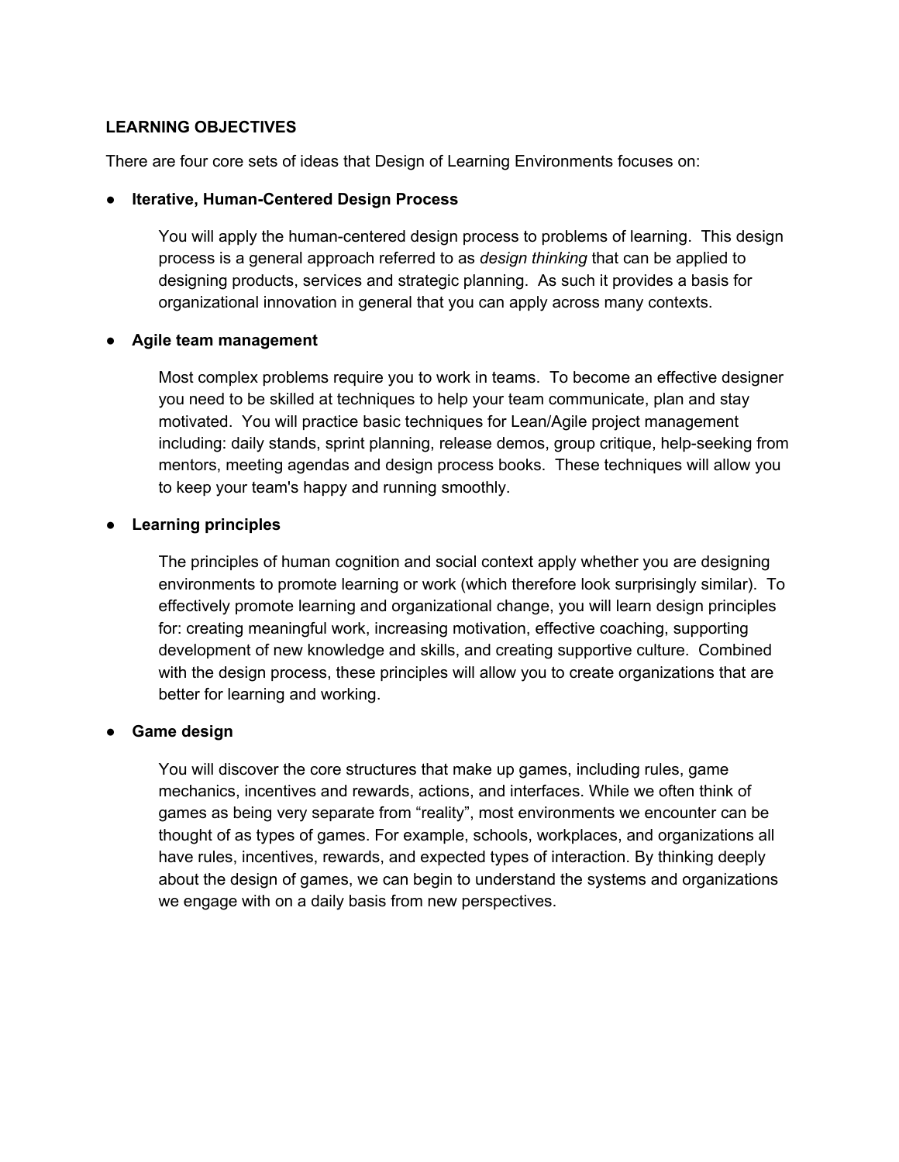#### **LEARNING OBJECTIVES**

There are four core sets of ideas that Design of Learning Environments focuses on:

#### ● **Iterative, Human-Centered Design Process**

You will apply the human-centered design process to problems of learning. This design process is a general approach referred to as *design thinking* that can be applied to designing products, services and strategic planning. As such it provides a basis for organizational innovation in general that you can apply across many contexts.

#### ● **Agile team management**

Most complex problems require you to work in teams. To become an effective designer you need to be skilled at techniques to help your team communicate, plan and stay motivated. You will practice basic techniques for Lean/Agile project management including: daily stands, sprint planning, release demos, group critique, help-seeking from mentors, meeting agendas and design process books. These techniques will allow you to keep your team's happy and running smoothly.

#### ● **Learning principles**

The principles of human cognition and social context apply whether you are designing environments to promote learning or work (which therefore look surprisingly similar). To effectively promote learning and organizational change, you will learn design principles for: creating meaningful work, increasing motivation, effective coaching, supporting development of new knowledge and skills, and creating supportive culture. Combined with the design process, these principles will allow you to create organizations that are better for learning and working.

### ● **Game design**

You will discover the core structures that make up games, including rules, game mechanics, incentives and rewards, actions, and interfaces. While we often think of games as being very separate from "reality", most environments we encounter can be thought of as types of games. For example, schools, workplaces, and organizations all have rules, incentives, rewards, and expected types of interaction. By thinking deeply about the design of games, we can begin to understand the systems and organizations we engage with on a daily basis from new perspectives.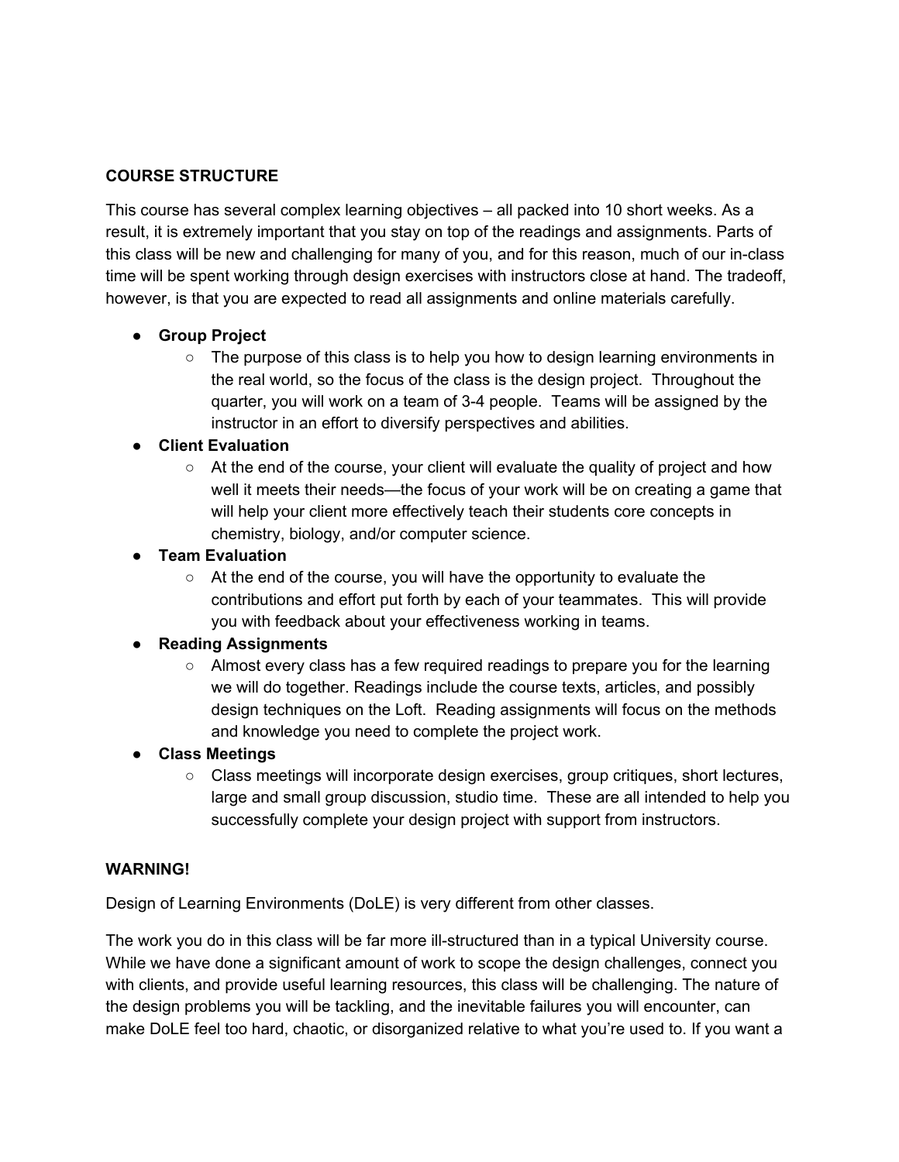## **COURSE STRUCTURE**

This course has several complex learning objectives – all packed into 10 short weeks. As a result, it is extremely important that you stay on top of the readings and assignments. Parts of this class will be new and challenging for many of you, and for this reason, much of our in-class time will be spent working through design exercises with instructors close at hand. The tradeoff, however, is that you are expected to read all assignments and online materials carefully.

## ● **Group Project**

 $\circ$  The purpose of this class is to help you how to design learning environments in the real world, so the focus of the class is the design project. Throughout the quarter, you will work on a team of 3-4 people. Teams will be assigned by the instructor in an effort to diversify perspectives and abilities.

## ● **Client Evaluation**

○ At the end of the course, your client will evaluate the quality of project and how well it meets their needs—the focus of your work will be on creating a game that will help your client more effectively teach their students core concepts in chemistry, biology, and/or computer science.

## ● **Team Evaluation**

○ At the end of the course, you will have the opportunity to evaluate the contributions and effort put forth by each of your teammates. This will provide you with feedback about your effectiveness working in teams.

## ● **Reading Assignments**

○ Almost every class has a few required readings to prepare you for the learning we will do together. Readings include the course texts, articles, and possibly design techniques on the Loft. Reading assignments will focus on the methods and knowledge you need to complete the project work.

### ● **Class Meetings**

○ Class meetings will incorporate design exercises, group critiques, short lectures, large and small group discussion, studio time. These are all intended to help you successfully complete your design project with support from instructors.

### **WARNING!**

Design of Learning Environments (DoLE) is very different from other classes.

The work you do in this class will be far more ill-structured than in a typical University course. While we have done a significant amount of work to scope the design challenges, connect you with clients, and provide useful learning resources, this class will be challenging. The nature of the design problems you will be tackling, and the inevitable failures you will encounter, can make DoLE feel too hard, chaotic, or disorganized relative to what you're used to. If you want a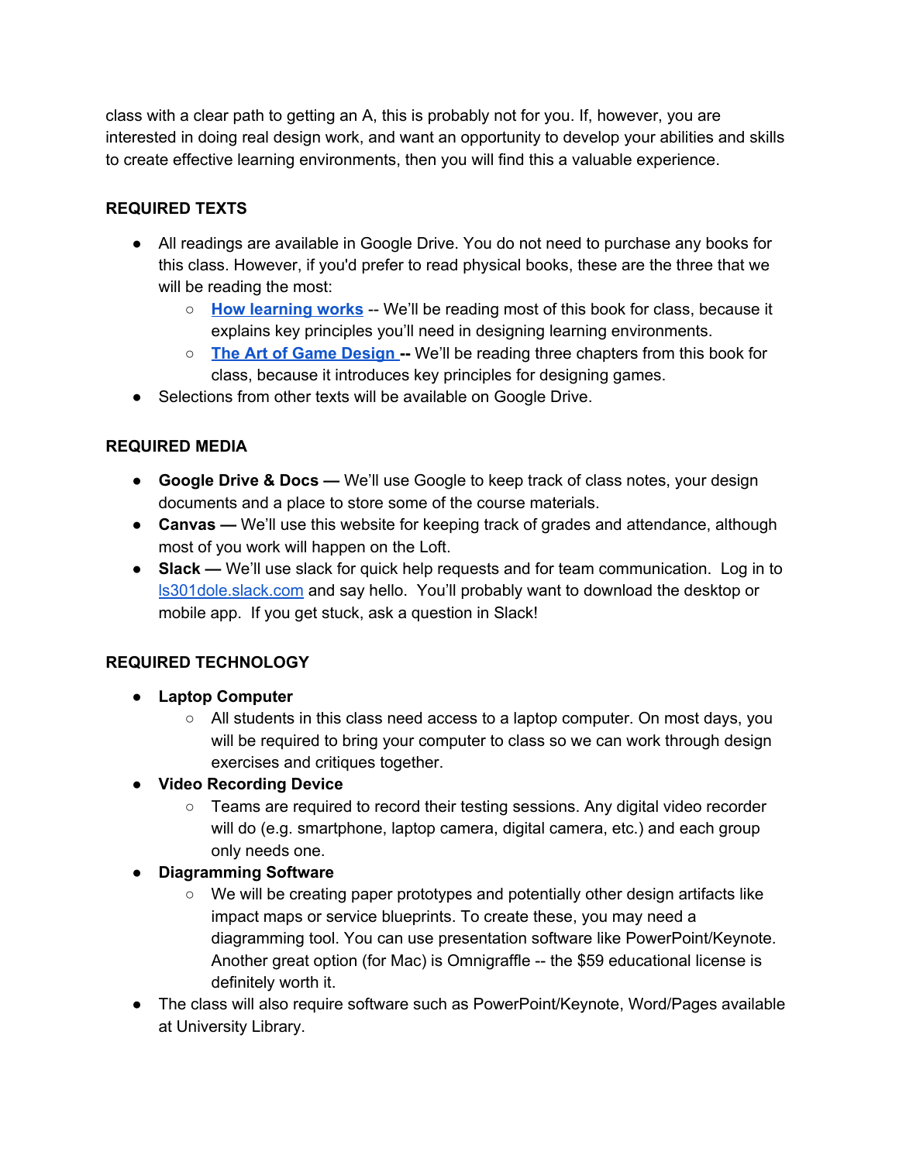class with a clear path to getting an A, this is probably not for you. If, however, you are interested in doing real design work, and want an opportunity to develop your abilities and skills to create effective learning environments, then you will find this a valuable experience.

## **REQUIRED TEXTS**

- All readings are available in Google Drive. You do not need to purchase any books for this class. However, if you'd prefer to read physical books, these are the three that we will be reading the most:
	- **How [learning](https://www.amazon.com/How-Learning-Works-Research-Based-Principles-ebook/dp/B003IEJZXS) works** -- We'll be reading most of this book for class, because it explains key principles you'll need in designing learning environments.
	- **The Art of Game [Design](https://www.amazon.com/Art-Game-Design-Lenses-Second-ebook/dp/B00OYUO4PY/) --** We'll be reading three chapters from this book for class, because it introduces key principles for designing games.
- Selections from other texts will be available on Google Drive.

## **REQUIRED MEDIA**

- **Google Drive & Docs —** We'll use Google to keep track of class notes, your design documents and a place to store some of the course materials.
- **Canvas —** We'll use this website for keeping track of grades and attendance, although most of you work will happen on the Loft.
- **Slack —** We'll use slack for quick help requests and for team communication. Log in to [ls301dole.slack.com](http://ls301dole.slack.com/) and say hello. You'll probably want to download the desktop or mobile app. If you get stuck, ask a question in Slack!

## **REQUIRED TECHNOLOGY**

- **Laptop Computer**
	- All students in this class need access to a laptop computer. On most days, you will be required to bring your computer to class so we can work through design exercises and critiques together.

## ● **Video Recording Device**

- Teams are required to record their testing sessions. Any digital video recorder will do (e.g. smartphone, laptop camera, digital camera, etc.) and each group only needs one.
- **Diagramming Software**
	- We will be creating paper prototypes and potentially other design artifacts like impact maps or service blueprints. To create these, you may need a diagramming tool. You can use presentation software like PowerPoint/Keynote. Another great option (for Mac) is Omnigraffle -- the \$59 educational license is definitely worth it.
- The class will also require software such as PowerPoint/Keynote, Word/Pages available at University Library.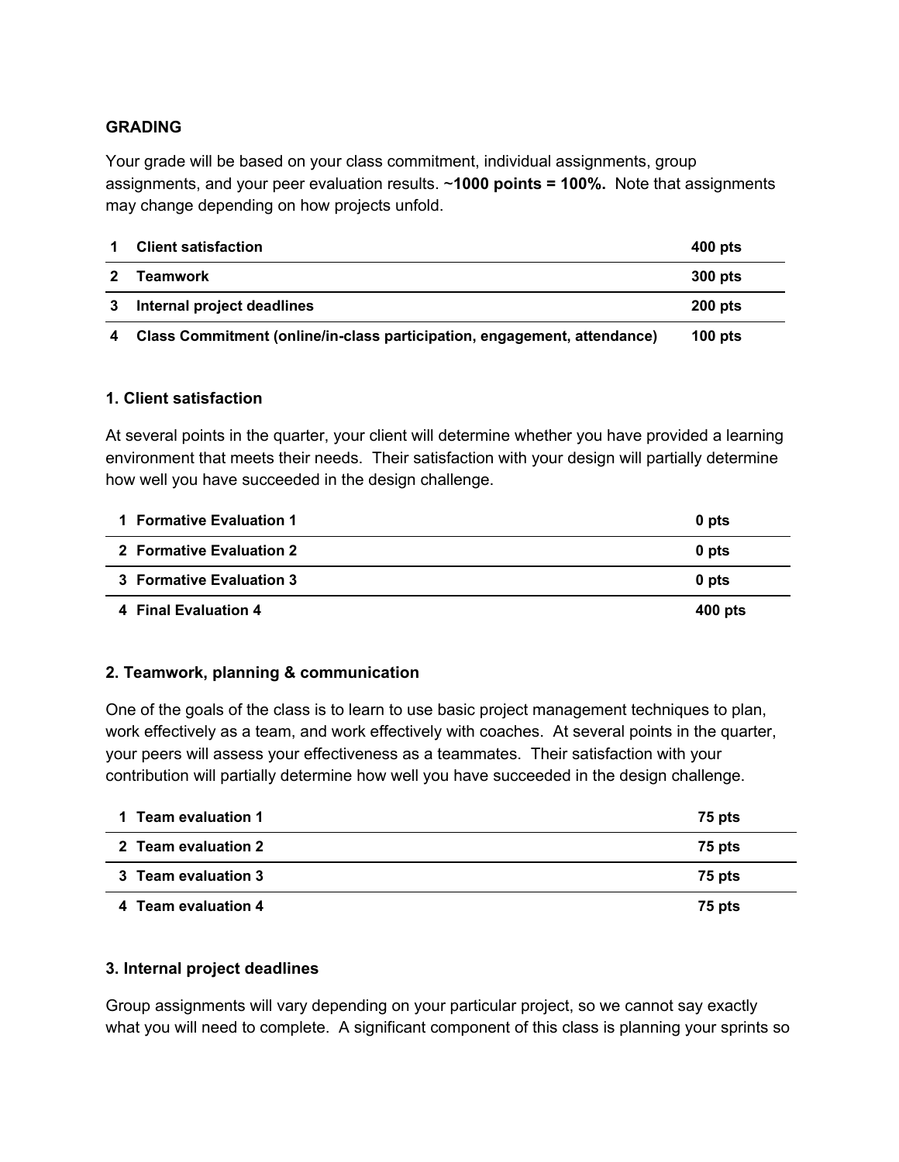## **GRADING**

Your grade will be based on your class commitment, individual assignments, group assignments, and your peer evaluation results. ~**1000 points = 100%.** Note that assignments may change depending on how projects unfold.

| <b>Client satisfaction</b>                                               | 400 pts   |
|--------------------------------------------------------------------------|-----------|
| Teamwork                                                                 | 300 pts   |
| Internal project deadlines                                               | $200$ pts |
| Class Commitment (online/in-class participation, engagement, attendance) | 100 $pts$ |

### **1. Client satisfaction**

At several points in the quarter, your client will determine whether you have provided a learning environment that meets their needs. Their satisfaction with your design will partially determine how well you have succeeded in the design challenge.

| 1 Formative Evaluation 1 | 0 pts   |
|--------------------------|---------|
| 2 Formative Evaluation 2 | 0 pts   |
| 3 Formative Evaluation 3 | 0 pts   |
| 4 Final Evaluation 4     | 400 pts |

## **2. Teamwork, planning & communication**

One of the goals of the class is to learn to use basic project management techniques to plan, work effectively as a team, and work effectively with coaches. At several points in the quarter, your peers will assess your effectiveness as a teammates. Their satisfaction with your contribution will partially determine how well you have succeeded in the design challenge.

| 1 Team evaluation 1 | 75 pts |
|---------------------|--------|
| 2 Team evaluation 2 | 75 pts |
| 3 Team evaluation 3 | 75 pts |
| 4 Team evaluation 4 | 75 pts |

### **3. Internal project deadlines**

Group assignments will vary depending on your particular project, so we cannot say exactly what you will need to complete. A significant component of this class is planning your sprints so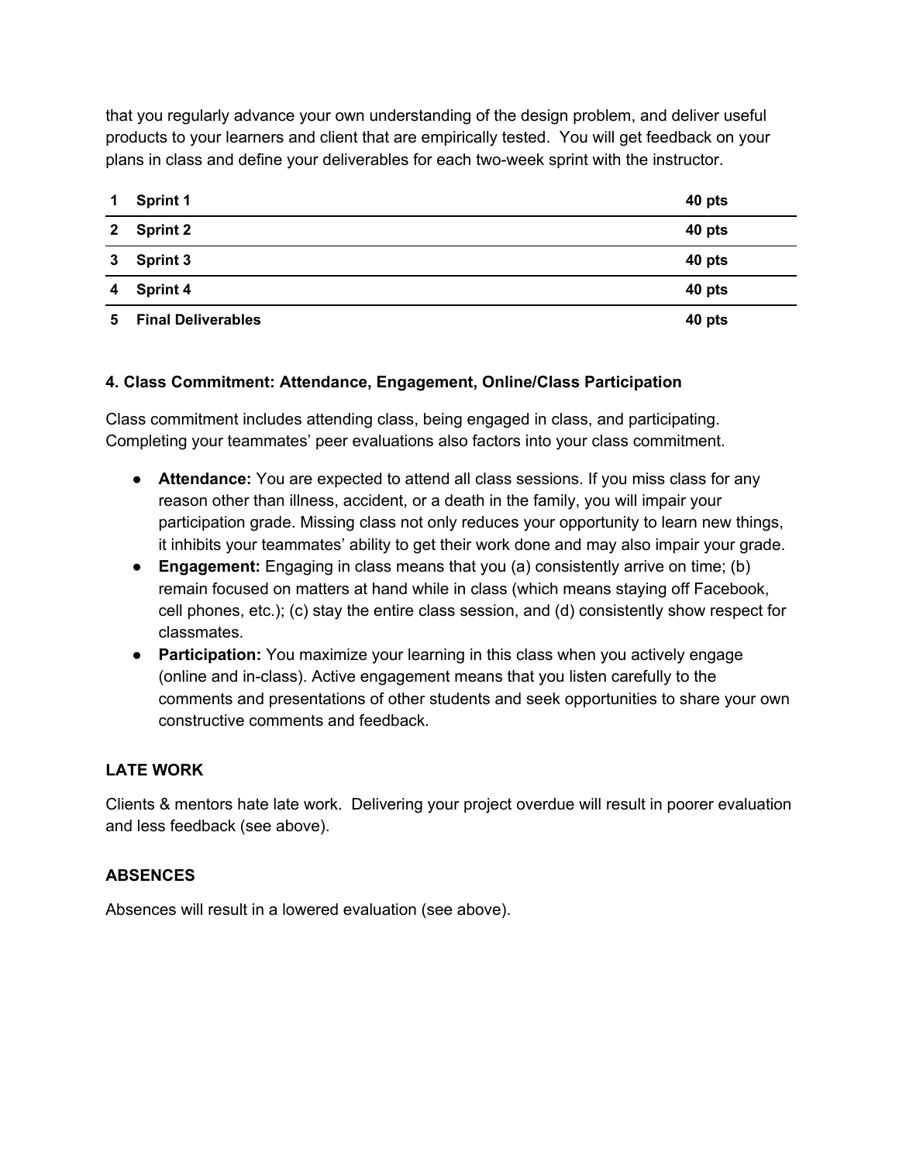that you regularly advance your own understanding of the design problem, and deliver useful products to your learners and client that are empirically tested. You will get feedback on your plans in class and define your deliverables for each two-week sprint with the instructor.

| 1            | <b>Sprint 1</b>           | 40 pts |
|--------------|---------------------------|--------|
| $\mathbf{2}$ | <b>Sprint 2</b>           | 40 pts |
| $3^{\circ}$  | <b>Sprint 3</b>           | 40 pts |
| 4            | <b>Sprint 4</b>           | 40 pts |
| 5.           | <b>Final Deliverables</b> | 40 pts |

## **4. Class Commitment: Attendance, Engagement, Online/Class Participation**

Class commitment includes attending class, being engaged in class, and participating. Completing your teammates' peer evaluations also factors into your class commitment.

- **Attendance:** You are expected to attend all class sessions. If you miss class for any reason other than illness, accident, or a death in the family, you will impair your participation grade. Missing class not only reduces your opportunity to learn new things, it inhibits your teammates' ability to get their work done and may also impair your grade.
- **Engagement:** Engaging in class means that you (a) consistently arrive on time; (b) remain focused on matters at hand while in class (which means staying off Facebook, cell phones, etc.); (c) stay the entire class session, and (d) consistently show respect for classmates.
- **Participation:** You maximize your learning in this class when you actively engage (online and in-class). Active engagement means that you listen carefully to the comments and presentations of other students and seek opportunities to share your own constructive comments and feedback.

## **LATE WORK**

Clients & mentors hate late work. Delivering your project overdue will result in poorer evaluation and less feedback (see above).

## **ABSENCES**

Absences will result in a lowered evaluation (see above).